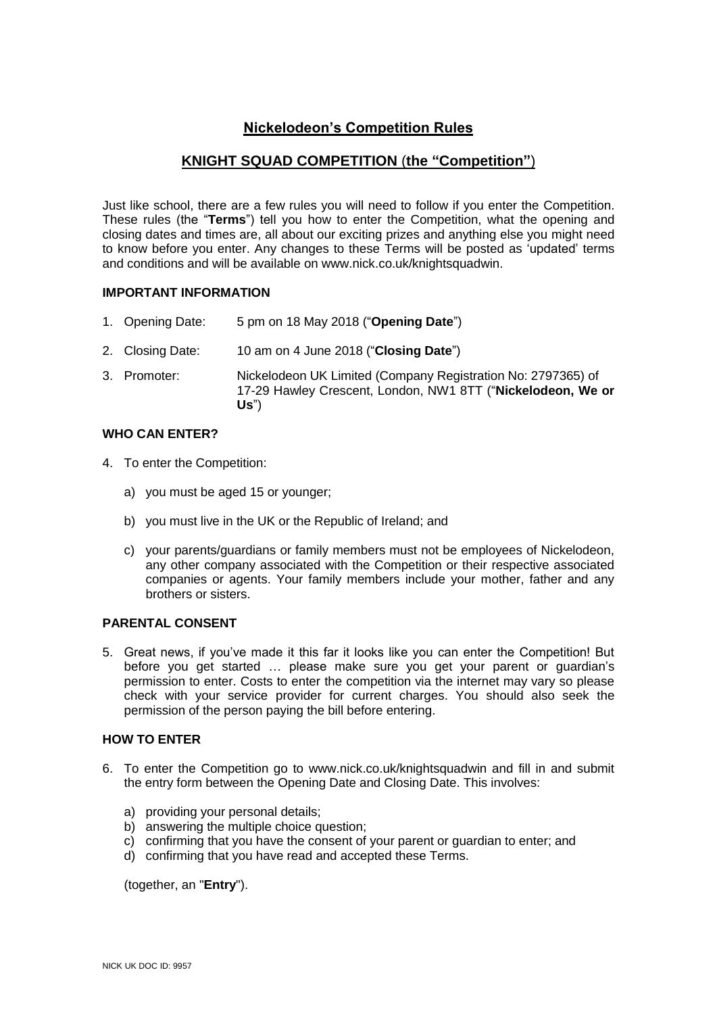# **Nickelodeon's Competition Rules**

# **KNIGHT SQUAD COMPETITION** (**the "Competition"**)

Just like school, there are a few rules you will need to follow if you enter the Competition. These rules (the "**Terms**") tell you how to enter the Competition, what the opening and closing dates and times are, all about our exciting prizes and anything else you might need to know before you enter. Any changes to these Terms will be posted as 'updated' terms and conditions and will be available on www.nick.co.uk/knightsquadwin.

## **IMPORTANT INFORMATION**

- 1. Opening Date: 5 pm on 18 May 2018 ("**Opening Date**")
- 2. Closing Date: 10 am on 4 June 2018 ("**Closing Date**")
- 3. Promoter: Nickelodeon UK Limited (Company Registration No: 2797365) of 17-29 Hawley Crescent, London, NW1 8TT ("**Nickelodeon, We or Us**")

#### **WHO CAN ENTER?**

- 4. To enter the Competition:
	- a) you must be aged 15 or younger;
	- b) you must live in the UK or the Republic of Ireland; and
	- c) your parents/guardians or family members must not be employees of Nickelodeon, any other company associated with the Competition or their respective associated companies or agents. Your family members include your mother, father and any brothers or sisters.

## **PARENTAL CONSENT**

5. Great news, if you've made it this far it looks like you can enter the Competition! But before you get started … please make sure you get your parent or guardian's permission to enter. Costs to enter the competition via the internet may vary so please check with your service provider for current charges. You should also seek the permission of the person paying the bill before entering.

#### **HOW TO ENTER**

- 6. To enter the Competition go to www.nick.co.uk/knightsquadwin and fill in and submit the entry form between the Opening Date and Closing Date. This involves:
	- a) providing your personal details;
	- b) answering the multiple choice question;
	- c) confirming that you have the consent of your parent or guardian to enter; and
	- d) confirming that you have read and accepted these Terms.

(together, an "**Entry**").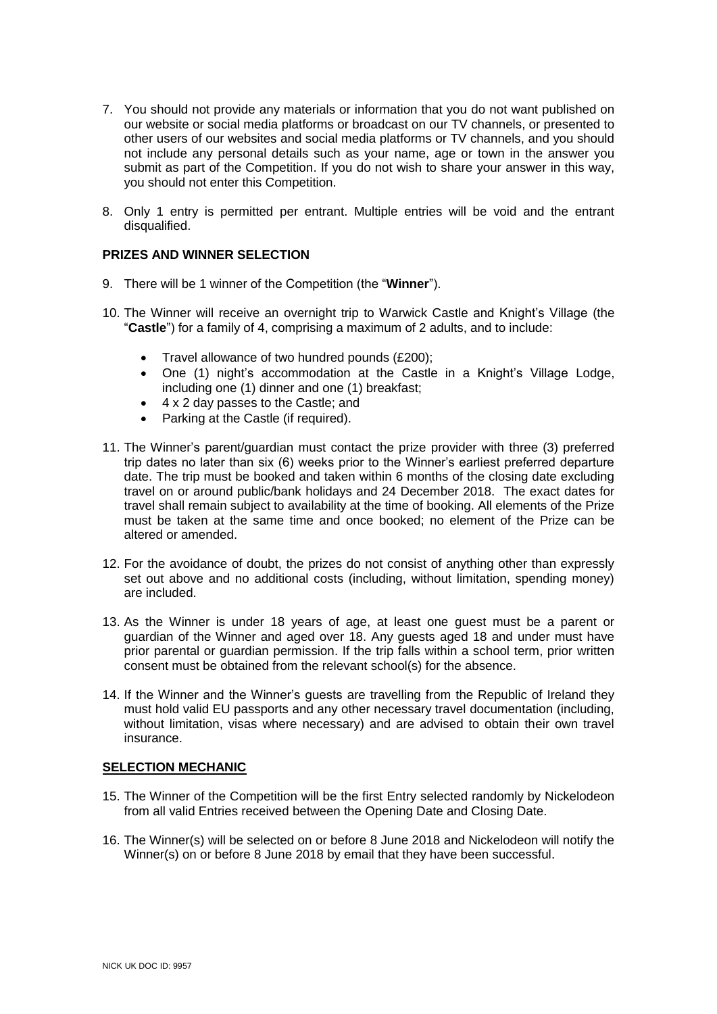- 7. You should not provide any materials or information that you do not want published on our website or social media platforms or broadcast on our TV channels, or presented to other users of our websites and social media platforms or TV channels, and you should not include any personal details such as your name, age or town in the answer you submit as part of the Competition. If you do not wish to share your answer in this way, you should not enter this Competition.
- 8. Only 1 entry is permitted per entrant. Multiple entries will be void and the entrant disqualified.

## **PRIZES AND WINNER SELECTION**

- 9. There will be 1 winner of the Competition (the "**Winner**").
- 10. The Winner will receive an overnight trip to Warwick Castle and Knight's Village (the "**Castle**") for a family of 4, comprising a maximum of 2 adults, and to include:
	- Travel allowance of two hundred pounds (£200);
	- One (1) night's accommodation at the Castle in a Knight's Village Lodge, including one (1) dinner and one (1) breakfast;
	- 4 x 2 day passes to the Castle; and
	- Parking at the Castle (if required).
- 11. The Winner's parent/guardian must contact the prize provider with three (3) preferred trip dates no later than six (6) weeks prior to the Winner's earliest preferred departure date. The trip must be booked and taken within 6 months of the closing date excluding travel on or around public/bank holidays and 24 December 2018. The exact dates for travel shall remain subject to availability at the time of booking. All elements of the Prize must be taken at the same time and once booked; no element of the Prize can be altered or amended.
- 12. For the avoidance of doubt, the prizes do not consist of anything other than expressly set out above and no additional costs (including, without limitation, spending money) are included.
- 13. As the Winner is under 18 years of age, at least one guest must be a parent or guardian of the Winner and aged over 18. Any guests aged 18 and under must have prior parental or guardian permission. If the trip falls within a school term, prior written consent must be obtained from the relevant school(s) for the absence.
- 14. If the Winner and the Winner's guests are travelling from the Republic of Ireland they must hold valid EU passports and any other necessary travel documentation (including, without limitation, visas where necessary) and are advised to obtain their own travel insurance.

#### **SELECTION MECHANIC**

- 15. The Winner of the Competition will be the first Entry selected randomly by Nickelodeon from all valid Entries received between the Opening Date and Closing Date.
- 16. The Winner(s) will be selected on or before 8 June 2018 and Nickelodeon will notify the Winner(s) on or before 8 June 2018 by email that they have been successful.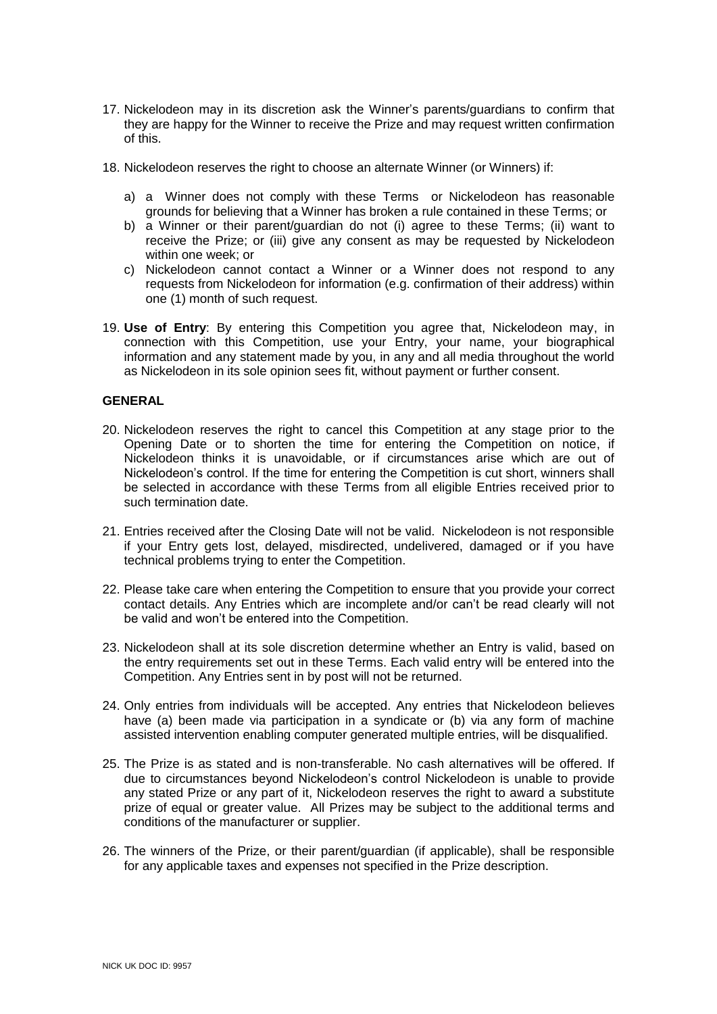- 17. Nickelodeon may in its discretion ask the Winner's parents/guardians to confirm that they are happy for the Winner to receive the Prize and may request written confirmation of this.
- 18. Nickelodeon reserves the right to choose an alternate Winner (or Winners) if:
	- a) a Winner does not comply with these Terms or Nickelodeon has reasonable grounds for believing that a Winner has broken a rule contained in these Terms; or
	- b) a Winner or their parent/guardian do not (i) agree to these Terms; (ii) want to receive the Prize; or (iii) give any consent as may be requested by Nickelodeon within one week; or
	- c) Nickelodeon cannot contact a Winner or a Winner does not respond to any requests from Nickelodeon for information (e.g. confirmation of their address) within one (1) month of such request.
- 19. **Use of Entry**: By entering this Competition you agree that, Nickelodeon may, in connection with this Competition, use your Entry, your name, your biographical information and any statement made by you, in any and all media throughout the world as Nickelodeon in its sole opinion sees fit, without payment or further consent.

## **GENERAL**

- 20. Nickelodeon reserves the right to cancel this Competition at any stage prior to the Opening Date or to shorten the time for entering the Competition on notice, if Nickelodeon thinks it is unavoidable, or if circumstances arise which are out of Nickelodeon's control. If the time for entering the Competition is cut short, winners shall be selected in accordance with these Terms from all eligible Entries received prior to such termination date.
- 21. Entries received after the Closing Date will not be valid. Nickelodeon is not responsible if your Entry gets lost, delayed, misdirected, undelivered, damaged or if you have technical problems trying to enter the Competition.
- 22. Please take care when entering the Competition to ensure that you provide your correct contact details. Any Entries which are incomplete and/or can't be read clearly will not be valid and won't be entered into the Competition.
- 23. Nickelodeon shall at its sole discretion determine whether an Entry is valid, based on the entry requirements set out in these Terms. Each valid entry will be entered into the Competition. Any Entries sent in by post will not be returned.
- 24. Only entries from individuals will be accepted. Any entries that Nickelodeon believes have (a) been made via participation in a syndicate or (b) via any form of machine assisted intervention enabling computer generated multiple entries, will be disqualified.
- 25. The Prize is as stated and is non-transferable. No cash alternatives will be offered. If due to circumstances beyond Nickelodeon's control Nickelodeon is unable to provide any stated Prize or any part of it, Nickelodeon reserves the right to award a substitute prize of equal or greater value. All Prizes may be subject to the additional terms and conditions of the manufacturer or supplier.
- 26. The winners of the Prize, or their parent/guardian (if applicable), shall be responsible for any applicable taxes and expenses not specified in the Prize description.